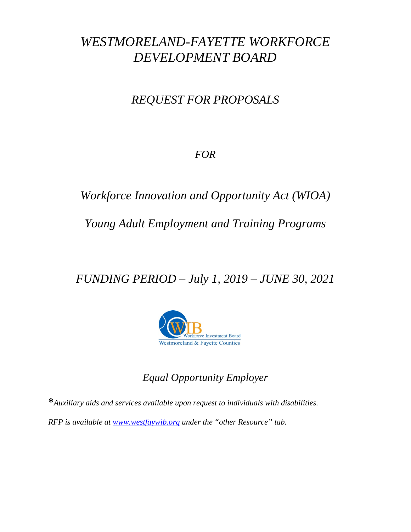# *WESTMORELAND-FAYETTE WORKFORCE DEVELOPMENT BOARD*

# *REQUEST FOR PROPOSALS*

*FOR*

*Workforce Innovation and Opportunity Act (WIOA)*

## *Young Adult Employment and Training Programs*

*FUNDING PERIOD – July 1, 2019 – JUNE 30, 2021*



## *Equal Opportunity Employer*

**\****Auxiliary aids and services available upon request to individuals with disabilities. RFP is available at [www.westfaywib.org](http://www.westfaywib.org/) under the "other Resource" tab.*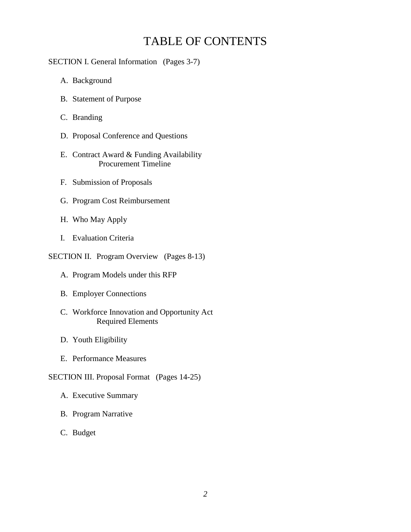## TABLE OF CONTENTS

#### SECTION I. General Information (Pages 3-7)

- A. Background
- B. Statement of Purpose
- C. Branding
- D. Proposal Conference and Questions
- E. Contract Award & Funding Availability Procurement Timeline
- F. Submission of Proposals
- G. Program Cost Reimbursement
- H. Who May Apply
- I. Evaluation Criteria

#### SECTION II. Program Overview (Pages 8-13)

- A. Program Models under this RFP
- B. Employer Connections
- C. Workforce Innovation and Opportunity Act Required Elements
- D. Youth Eligibility
- E. Performance Measures
- SECTION III. Proposal Format (Pages 14-25)
	- A. Executive Summary
	- B. Program Narrative
	- C. Budget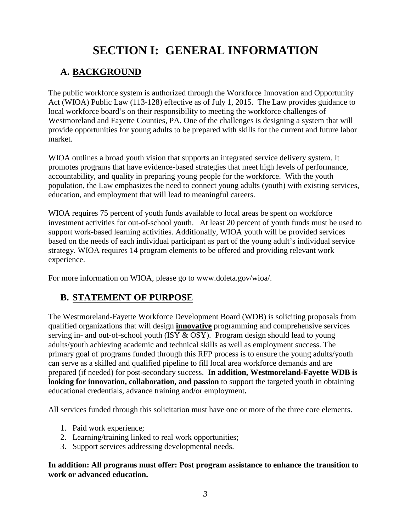# **SECTION I: GENERAL INFORMATION**

## **A. BACKGROUND**

The public workforce system is authorized through the Workforce Innovation and Opportunity Act (WIOA) Public Law (113-128) effective as of July 1, 2015. The Law provides guidance to local workforce board's on their responsibility to meeting the workforce challenges of Westmoreland and Fayette Counties, PA. One of the challenges is designing a system that will provide opportunities for young adults to be prepared with skills for the current and future labor market.

WIOA outlines a broad youth vision that supports an integrated service delivery system. It promotes programs that have evidence-based strategies that meet high levels of performance, accountability, and quality in preparing young people for the workforce. With the youth population, the Law emphasizes the need to connect young adults (youth) with existing services, education, and employment that will lead to meaningful careers.

WIOA requires 75 percent of youth funds available to local areas be spent on workforce investment activities for out-of-school youth. At least 20 percent of youth funds must be used to support work-based learning activities. Additionally, WIOA youth will be provided services based on the needs of each individual participant as part of the young adult's individual service strategy. WIOA requires 14 program elements to be offered and providing relevant work experience.

For more information on WIOA, please go to www.doleta.gov/wioa/.

## **B. STATEMENT OF PURPOSE**

The Westmoreland-Fayette Workforce Development Board (WDB) is soliciting proposals from qualified organizations that will design **innovative** programming and comprehensive services serving in- and out-of-school youth (ISY & OSY). Program design should lead to young adults/youth achieving academic and technical skills as well as employment success. The primary goal of programs funded through this RFP process is to ensure the young adults/youth can serve as a skilled and qualified pipeline to fill local area workforce demands and are prepared (if needed) for post-secondary success. **In addition, Westmoreland-Fayette WDB is looking for innovation, collaboration, and passion** to support the targeted youth in obtaining educational credentials, advance training and/or employment**.**

All services funded through this solicitation must have one or more of the three core elements.

- 1. Paid work experience;
- 2. Learning/training linked to real work opportunities;
- 3. Support services addressing developmental needs.

**In addition: All programs must offer: Post program assistance to enhance the transition to work or advanced education.**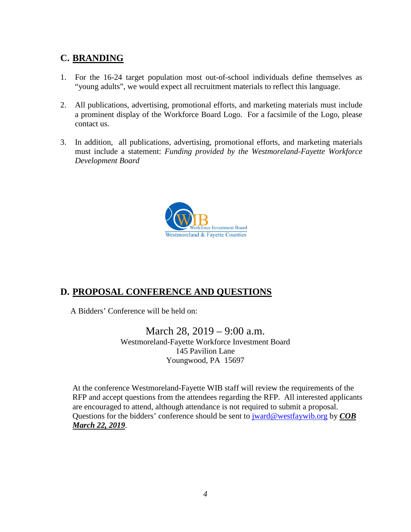## **C. BRANDING**

- 1. For the 16-24 target population most out-of-school individuals define themselves as "young adults", we would expect all recruitment materials to reflect this language.
- 2. All publications, advertising, promotional efforts, and marketing materials must include a prominent display of the Workforce Board Logo. For a facsimile of the Logo, please contact us.
- 3. In addition, all publications, advertising, promotional efforts, and marketing materials must include a statement: *Funding provided by the Westmoreland-Fayette Workforce Development Board*



## **D. PROPOSAL CONFERENCE AND QUESTIONS**

A Bidders' Conference will be held on:

March 28, 2019 – 9:00 a.m. Westmoreland-Fayette Workforce Investment Board 145 Pavilion Lane Youngwood, PA 15697

At the conference Westmoreland-Fayette WIB staff will review the requirements of the RFP and accept questions from the attendees regarding the RFP. All interested applicants are encouraged to attend, although attendance is not required to submit a proposal. Questions for the bidders' conference should be sent to [jward@westfaywib.org](mailto:jward@westfaywib.org) by *COB March 22, 2019*.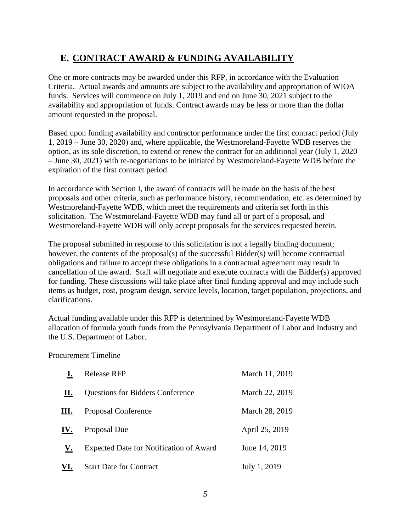## **E. CONTRACT AWARD & FUNDING AVAILABILITY**

One or more contracts may be awarded under this RFP, in accordance with the Evaluation Criteria. Actual awards and amounts are subject to the availability and appropriation of WIOA funds. Services will commence on July 1, 2019 and end on June 30, 2021 subject to the availability and appropriation of funds. Contract awards may be less or more than the dollar amount requested in the proposal.

Based upon funding availability and contractor performance under the first contract period (July 1, 2019 – June 30, 2020) and, where applicable, the Westmoreland-Fayette WDB reserves the option, as its sole discretion, to extend or renew the contract for an additional year (July 1, 2020 – June 30, 2021) with re-negotiations to be initiated by Westmoreland-Fayette WDB before the expiration of the first contract period.

In accordance with Section I, the award of contracts will be made on the basis of the best proposals and other criteria, such as performance history, recommendation, etc. as determined by Westmoreland-Fayette WDB, which meet the requirements and criteria set forth in this solicitation. The Westmoreland-Fayette WDB may fund all or part of a proposal, and Westmoreland-Fayette WDB will only accept proposals for the services requested herein.

The proposal submitted in response to this solicitation is not a legally binding document; however, the contents of the proposal(s) of the successful Bidder(s) will become contractual obligations and failure to accept these obligations in a contractual agreement may result in cancellation of the award. Staff will negotiate and execute contracts with the Bidder(s) approved for funding. These discussions will take place after final funding approval and may include such items as budget, cost, program design, service levels, location, target population, projections, and clarifications.

Actual funding available under this RFP is determined by Westmoreland-Fayette WDB allocation of formula youth funds from the Pennsylvania Department of Labor and Industry and the U.S. Department of Labor.

Procurement Timeline

|     | <b>Release RFP</b>                             | March 11, 2019 |
|-----|------------------------------------------------|----------------|
| П.  | <b>Questions for Bidders Conference</b>        | March 22, 2019 |
| Ш.  | Proposal Conference                            | March 28, 2019 |
| IV. | Proposal Due                                   | April 25, 2019 |
| V.  | <b>Expected Date for Notification of Award</b> | June 14, 2019  |
| VI. | <b>Start Date for Contract</b>                 | July 1, 2019   |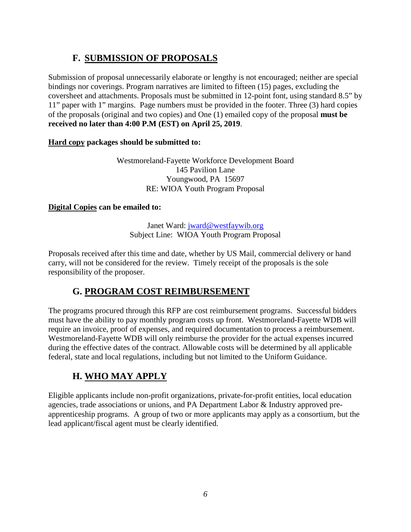## **F. SUBMISSION OF PROPOSALS**

Submission of proposal unnecessarily elaborate or lengthy is not encouraged; neither are special bindings nor coverings. Program narratives are limited to fifteen (15) pages, excluding the coversheet and attachments. Proposals must be submitted in 12-point font, using standard 8.5" by 11" paper with 1" margins. Page numbers must be provided in the footer. Three (3) hard copies of the proposals (original and two copies) and One (1) emailed copy of the proposal **must be received no later than 4:00 P.M (EST) on April 25, 2019**.

### **Hard copy packages should be submitted to:**

Westmoreland-Fayette Workforce Development Board 145 Pavilion Lane Youngwood, PA 15697 RE: WIOA Youth Program Proposal

### **Digital Copies can be emailed to:**

Janet Ward: [jward@westfaywib.org](mailto:jward@westfaywib.org) Subject Line: WIOA Youth Program Proposal

Proposals received after this time and date, whether by US Mail, commercial delivery or hand carry, will not be considered for the review. Timely receipt of the proposals is the sole responsibility of the proposer.

## **G. PROGRAM COST REIMBURSEMENT**

The programs procured through this RFP are cost reimbursement programs. Successful bidders must have the ability to pay monthly program costs up front. Westmoreland-Fayette WDB will require an invoice, proof of expenses, and required documentation to process a reimbursement. Westmoreland-Fayette WDB will only reimburse the provider for the actual expenses incurred during the effective dates of the contract. Allowable costs will be determined by all applicable federal, state and local regulations, including but not limited to the Uniform Guidance.

## **H. WHO MAY APPLY**

Eligible applicants include non-profit organizations, private-for-profit entities, local education agencies, trade associations or unions, and PA Department Labor & Industry approved preapprenticeship programs. A group of two or more applicants may apply as a consortium, but the lead applicant/fiscal agent must be clearly identified.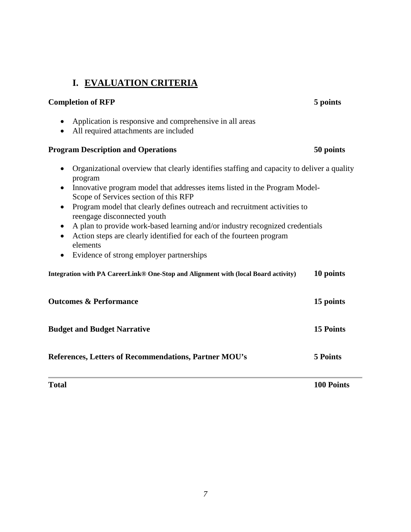#### Scope of Services section of this RFP • Program model that clearly defines outreach and recruitment activities to

- reengage disconnected youth
- A plan to provide work-based learning and/or industry recognized credentials

• Innovative program model that addresses items listed in the Program Model-

**Completion of RFP 5 points**

• Organizational overview that clearly identifies staffing and capacity to deliver a quality

- Action steps are clearly identified for each of the fourteen program elements
- Evidence of strong employer partnerships

| Integration with PA CareerLink® One-Stop and Alignment with (local Board activity) | 10 points |
|------------------------------------------------------------------------------------|-----------|
| <b>Outcomes &amp; Performance</b>                                                  | 15 points |
| <b>Budget and Budget Narrative</b>                                                 | 15 Points |
| <b>References, Letters of Recommendations, Partner MOU's</b>                       | 5 Points  |

**Total 100 Points**

• Application is responsive and comprehensive in all areas

• All required attachments are included

**I. EVALUATION CRITERIA**

## **Program Description and Operations 50 points**

program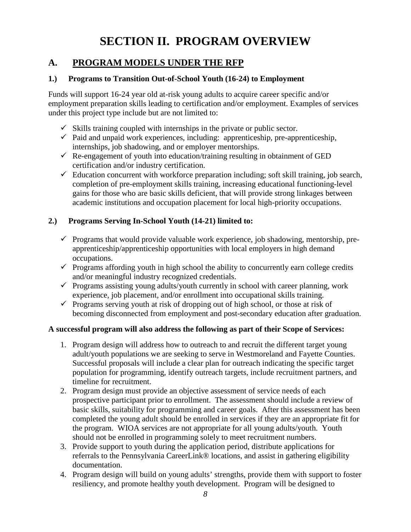# **SECTION II. PROGRAM OVERVIEW**

## **A. PROGRAM MODELS UNDER THE RFP**

#### **1.) Programs to Transition Out-of-School Youth (16-24) to Employment**

Funds will support 16-24 year old at-risk young adults to acquire career specific and/or employment preparation skills leading to certification and/or employment. Examples of services under this project type include but are not limited to:

- $\checkmark$  Skills training coupled with internships in the private or public sector.
- $\checkmark$  Paid and unpaid work experiences, including: apprenticeship, pre-apprenticeship, internships, job shadowing, and or employer mentorships.
- $\checkmark$  Re-engagement of youth into education/training resulting in obtainment of GED certification and/or industry certification.
- $\checkmark$  Education concurrent with workforce preparation including; soft skill training, job search, completion of pre-employment skills training, increasing educational functioning-level gains for those who are basic skills deficient, that will provide strong linkages between academic institutions and occupation placement for local high-priority occupations.

### **2.) Programs Serving In-School Youth (14-21) limited to:**

- $\checkmark$  Programs that would provide valuable work experience, job shadowing, mentorship, preapprenticeship/apprenticeship opportunities with local employers in high demand occupations.
- $\checkmark$  Programs affording youth in high school the ability to concurrently earn college credits and/or meaningful industry recognized credentials.
- $\checkmark$  Programs assisting young adults/youth currently in school with career planning, work experience, job placement, and/or enrollment into occupational skills training.
- $\checkmark$  Programs serving youth at risk of dropping out of high school, or those at risk of becoming disconnected from employment and post-secondary education after graduation.

#### **A successful program will also address the following as part of their Scope of Services:**

- 1. Program design will address how to outreach to and recruit the different target young adult/youth populations we are seeking to serve in Westmoreland and Fayette Counties. Successful proposals will include a clear plan for outreach indicating the specific target population for programming, identify outreach targets, include recruitment partners, and timeline for recruitment.
- 2. Program design must provide an objective assessment of service needs of each prospective participant prior to enrollment. The assessment should include a review of basic skills, suitability for programming and career goals. After this assessment has been completed the young adult should be enrolled in services if they are an appropriate fit for the program. WIOA services are not appropriate for all young adults/youth. Youth should not be enrolled in programming solely to meet recruitment numbers.
- 3. Provide support to youth during the application period, distribute applications for referrals to the Pennsylvania CareerLink® locations, and assist in gathering eligibility documentation.
- 4. Program design will build on young adults' strengths, provide them with support to foster resiliency, and promote healthy youth development. Program will be designed to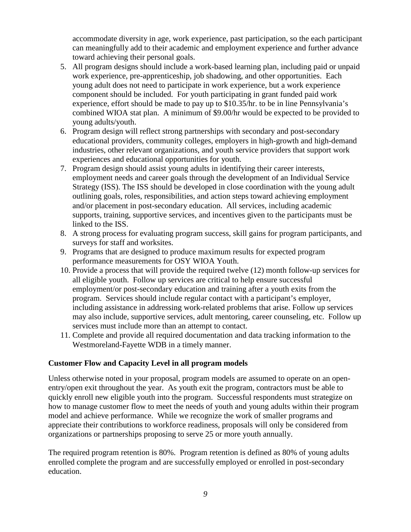accommodate diversity in age, work experience, past participation, so the each participant can meaningfully add to their academic and employment experience and further advance toward achieving their personal goals.

- 5. All program designs should include a work-based learning plan, including paid or unpaid work experience, pre-apprenticeship, job shadowing, and other opportunities. Each young adult does not need to participate in work experience, but a work experience component should be included. For youth participating in grant funded paid work experience, effort should be made to pay up to \$10.35/hr. to be in line Pennsylvania's combined WIOA stat plan. A minimum of \$9.00/hr would be expected to be provided to young adults/youth.
- 6. Program design will reflect strong partnerships with secondary and post-secondary educational providers, community colleges, employers in high-growth and high-demand industries, other relevant organizations, and youth service providers that support work experiences and educational opportunities for youth.
- 7. Program design should assist young adults in identifying their career interests, employment needs and career goals through the development of an Individual Service Strategy (ISS). The ISS should be developed in close coordination with the young adult outlining goals, roles, responsibilities, and action steps toward achieving employment and/or placement in post-secondary education. All services, including academic supports, training, supportive services, and incentives given to the participants must be linked to the ISS.
- 8. A strong process for evaluating program success, skill gains for program participants, and surveys for staff and worksites.
- 9. Programs that are designed to produce maximum results for expected program performance measurements for OSY WIOA Youth.
- 10. Provide a process that will provide the required twelve (12) month follow-up services for all eligible youth. Follow up services are critical to help ensure successful employment/or post-secondary education and training after a youth exits from the program. Services should include regular contact with a participant's employer, including assistance in addressing work-related problems that arise. Follow up services may also include, supportive services, adult mentoring, career counseling, etc. Follow up services must include more than an attempt to contact.
- 11. Complete and provide all required documentation and data tracking information to the Westmoreland-Fayette WDB in a timely manner.

#### **Customer Flow and Capacity Level in all program models**

Unless otherwise noted in your proposal, program models are assumed to operate on an openentry/open exit throughout the year. As youth exit the program, contractors must be able to quickly enroll new eligible youth into the program. Successful respondents must strategize on how to manage customer flow to meet the needs of youth and young adults within their program model and achieve performance. While we recognize the work of smaller programs and appreciate their contributions to workforce readiness, proposals will only be considered from organizations or partnerships proposing to serve 25 or more youth annually.

The required program retention is 80%. Program retention is defined as 80% of young adults enrolled complete the program and are successfully employed or enrolled in post-secondary education.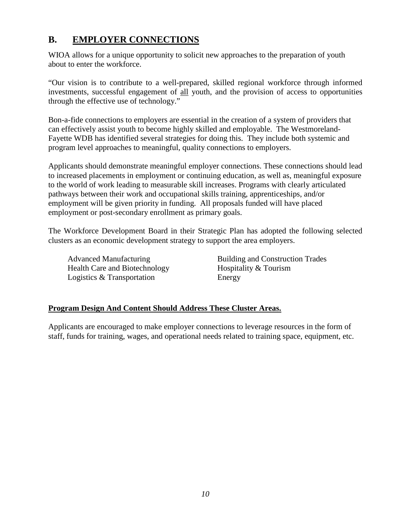## **B. EMPLOYER CONNECTIONS**

WIOA allows for a unique opportunity to solicit new approaches to the preparation of youth about to enter the workforce.

"Our vision is to contribute to a well-prepared, skilled regional workforce through informed investments, successful engagement of all youth, and the provision of access to opportunities through the effective use of technology."

Bon-a-fide connections to employers are essential in the creation of a system of providers that can effectively assist youth to become highly skilled and employable. The Westmoreland-Fayette WDB has identified several strategies for doing this. They include both systemic and program level approaches to meaningful, quality connections to employers.

Applicants should demonstrate meaningful employer connections. These connections should lead to increased placements in employment or continuing education, as well as, meaningful exposure to the world of work leading to measurable skill increases. Programs with clearly articulated pathways between their work and occupational skills training, apprenticeships, and/or employment will be given priority in funding. All proposals funded will have placed employment or post-secondary enrollment as primary goals.

The Workforce Development Board in their Strategic Plan has adopted the following selected clusters as an economic development strategy to support the area employers.

Health Care and Biotechnology Hospitality & Tourism Logistics & Transportation Energy

Advanced Manufacturing Building and Construction Trades

#### **Program Design And Content Should Address These Cluster Areas.**

Applicants are encouraged to make employer connections to leverage resources in the form of staff, funds for training, wages, and operational needs related to training space, equipment, etc.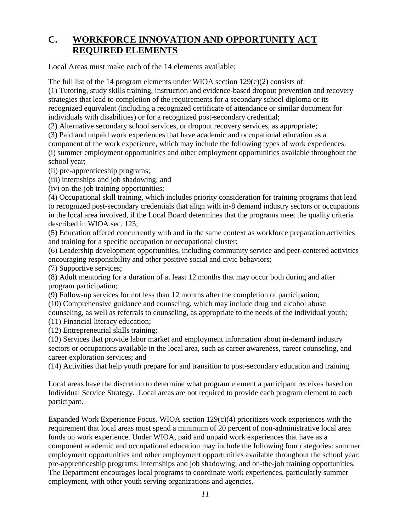## **C. WORKFORCE INNOVATION AND OPPORTUNITY ACT REQUIRED ELEMENTS**

Local Areas must make each of the 14 elements available:

The full list of the 14 program elements under WIOA section  $129(c)(2)$  consists of:

(1) Tutoring, study skills training, instruction and evidence-based dropout prevention and recovery strategies that lead to completion of the requirements for a secondary school diploma or its recognized equivalent (including a recognized certificate of attendance or similar document for individuals with disabilities) or for a recognized post-secondary credential;

(2) Alternative secondary school services, or dropout recovery services, as appropriate;

(3) Paid and unpaid work experiences that have academic and occupational education as a

component of the work experience, which may include the following types of work experiences: (i) summer employment opportunities and other employment opportunities available throughout the school year;

(ii) pre-apprenticeship programs;

(iii) internships and job shadowing; and

(iv) on-the-job training opportunities;

(4) Occupational skill training, which includes priority consideration for training programs that lead to recognized post-secondary credentials that align with in-8 demand industry sectors or occupations in the local area involved, if the Local Board determines that the programs meet the quality criteria described in WIOA sec. 123;

(5) Education offered concurrently with and in the same context as workforce preparation activities and training for a specific occupation or occupational cluster;

(6) Leadership development opportunities, including community service and peer-centered activities encouraging responsibility and other positive social and civic behaviors;

(7) Supportive services;

(8) Adult mentoring for a duration of at least 12 months that may occur both during and after program participation;

(9) Follow-up services for not less than 12 months after the completion of participation;

(10) Comprehensive guidance and counseling, which may include drug and alcohol abuse counseling, as well as referrals to counseling, as appropriate to the needs of the individual youth;

(11) Financial literacy education;

(12) Entrepreneurial skills training;

(13) Services that provide labor market and employment information about in-demand industry sectors or occupations available in the local area, such as career awareness, career counseling, and career exploration services; and

(14) Activities that help youth prepare for and transition to post-secondary education and training.

Local areas have the discretion to determine what program element a participant receives based on Individual Service Strategy. Local areas are not required to provide each program element to each participant.

Expanded Work Experience Focus. WIOA section 129(c)(4) prioritizes work experiences with the requirement that local areas must spend a minimum of 20 percent of non-administrative local area funds on work experience. Under WIOA, paid and unpaid work experiences that have as a component academic and occupational education may include the following four categories: summer employment opportunities and other employment opportunities available throughout the school year; pre-apprenticeship programs; internships and job shadowing; and on-the-job training opportunities. The Department encourages local programs to coordinate work experiences, particularly summer employment, with other youth serving organizations and agencies.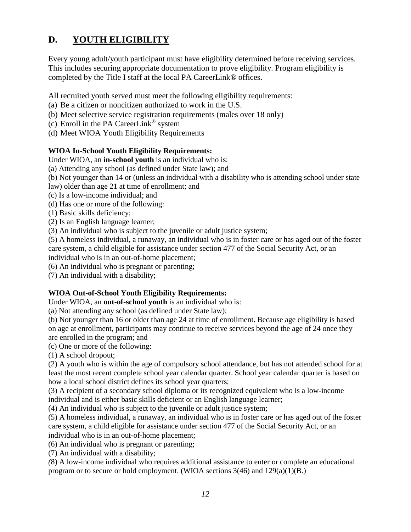## **D. YOUTH ELIGIBILITY**

Every young adult/youth participant must have eligibility determined before receiving services. This includes securing appropriate documentation to prove eligibility. Program eligibility is completed by the Title I staff at the local PA CareerLink® offices.

All recruited youth served must meet the following eligibility requirements:

- (a) Be a citizen or noncitizen authorized to work in the U.S.
- (b) Meet selective service registration requirements (males over 18 only)
- (c) Enroll in the PA CareerLink<sup>®</sup> system
- (d) Meet WIOA Youth Eligibility Requirements

#### **WIOA In-School Youth Eligibility Requirements:**

Under WIOA, an **in-school youth** is an individual who is:

(a) Attending any school (as defined under State law); and

(b) Not younger than 14 or (unless an individual with a disability who is attending school under state

law) older than age 21 at time of enrollment; and

(c) Is a low-income individual; and

- (d) Has one or more of the following:
- (1) Basic skills deficiency;
- (2) Is an English language learner;
- (3) An individual who is subject to the juvenile or adult justice system;

(5) A homeless individual, a runaway, an individual who is in foster care or has aged out of the foster care system, a child eligible for assistance under section 477 of the Social Security Act, or an individual who is in an out-of-home placement;

(6) An individual who is pregnant or parenting;

(7) An individual with a disability;

#### **WIOA Out-of-School Youth Eligibility Requirements:**

Under WIOA, an **out-of-school youth** is an individual who is:

(a) Not attending any school (as defined under State law);

(b) Not younger than 16 or older than age 24 at time of enrollment. Because age eligibility is based on age at enrollment, participants may continue to receive services beyond the age of 24 once they are enrolled in the program; and

(c) One or more of the following:

(1) A school dropout;

(2) A youth who is within the age of compulsory school attendance, but has not attended school for at least the most recent complete school year calendar quarter. School year calendar quarter is based on how a local school district defines its school year quarters;

(3) A recipient of a secondary school diploma or its recognized equivalent who is a low-income individual and is either basic skills deficient or an English language learner;

(4) An individual who is subject to the juvenile or adult justice system;

(5) A homeless individual, a runaway, an individual who is in foster care or has aged out of the foster care system, a child eligible for assistance under section 477 of the Social Security Act, or an individual who is in an out-of-home placement;

(6) An individual who is pregnant or parenting;

(7) An individual with a disability;

*(*8) A low-income individual who requires additional assistance to enter or complete an educational program or to secure or hold employment. (WIOA sections 3(46) and 129(a)(1)(B.)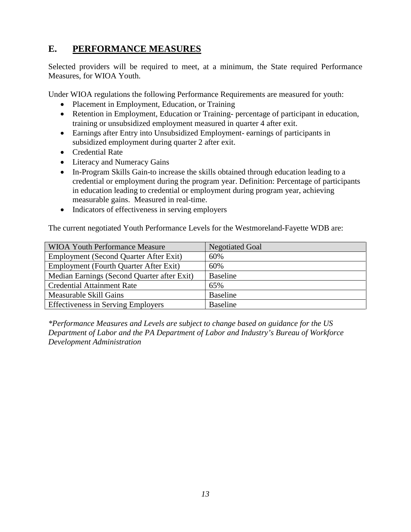## **E. PERFORMANCE MEASURES**

Selected providers will be required to meet, at a minimum, the State required Performance Measures, for WIOA Youth.

Under WIOA regulations the following Performance Requirements are measured for youth:

- Placement in Employment, Education, or Training
- Retention in Employment, Education or Training- percentage of participant in education, training or unsubsidized employment measured in quarter 4 after exit.
- Earnings after Entry into Unsubsidized Employment- earnings of participants in subsidized employment during quarter 2 after exit.
- Credential Rate
- Literacy and Numeracy Gains
- In-Program Skills Gain-to increase the skills obtained through education leading to a credential or employment during the program year. Definition: Percentage of participants in education leading to credential or employment during program year, achieving measurable gains. Measured in real-time.
- Indicators of effectiveness in serving employers

The current negotiated Youth Performance Levels for the Westmoreland-Fayette WDB are:

| <b>WIOA Youth Performance Measure</b>       | <b>Negotiated Goal</b> |
|---------------------------------------------|------------------------|
| Employment (Second Quarter After Exit)      | 60%                    |
| Employment (Fourth Quarter After Exit)      | 60%                    |
| Median Earnings (Second Quarter after Exit) | <b>Baseline</b>        |
| <b>Credential Attainment Rate</b>           | 65%                    |
| Measurable Skill Gains                      | <b>Baseline</b>        |
| <b>Effectiveness in Serving Employers</b>   | <b>Baseline</b>        |

*\*Performance Measures and Levels are subject to change based on guidance for the US Department of Labor and the PA Department of Labor and Industry's Bureau of Workforce Development Administration*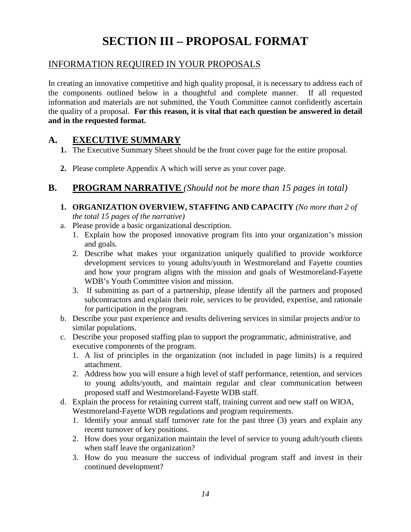# **SECTION III – PROPOSAL FORMAT**

### INFORMATION REQUIRED IN YOUR PROPOSALS

In creating an innovative competitive and high quality proposal, it is necessary to address each of the components outlined below in a thoughtful and complete manner. If all requested information and materials are not submitted, the Youth Committee cannot confidently ascertain the quality of a proposal. **For this reason, it is vital that each question be answered in detail and in the requested format.**

## **A. EXECUTIVE SUMMARY**

- **1.** The Executive Summary Sheet should be the front cover page for the entire proposal.
- **2.** Please complete Appendix A which will serve as your cover page.

## **B. PROGRAM NARRATIVE** *(Should not be more than 15 pages in total)*

- **1. ORGANIZATION OVERVIEW, STAFFING AND CAPACITY** *(No more than 2 of the total 15 pages of the narrative)*
- a. Please provide a basic organizational description.
	- 1. Explain how the proposed innovative program fits into your organization's mission and goals.
	- 2. Describe what makes your organization uniquely qualified to provide workforce development services to young adults/youth in Westmoreland and Fayette counties and how your program aligns with the mission and goals of Westmoreland-Fayette WDB's Youth Committee vision and mission.
	- 3. If submitting as part of a partnership, please identify all the partners and proposed subcontractors and explain their role, services to be provided, expertise, and rationale for participation in the program.
- b. Describe your past experience and results delivering services in similar projects and/or to similar populations.
- c. Describe your proposed staffing plan to support the programmatic, administrative, and executive components of the program.
	- 1. A list of principles in the organization (not included in page limits) is a required attachment.
	- 2. Address how you will ensure a high level of staff performance, retention, and services to young adults/youth, and maintain regular and clear communication between proposed staff and Westmoreland-Fayette WDB staff.
- d. Explain the process for retaining current staff, training current and new staff on WIOA, Westmoreland-Fayette WDB regulations and program requirements.
	- 1. Identify your annual staff turnover rate for the past three (3) years and explain any recent turnover of key positions.
	- 2. How does your organization maintain the level of service to young adult/youth clients when staff leave the organization?
	- 3. How do you measure the success of individual program staff and invest in their continued development?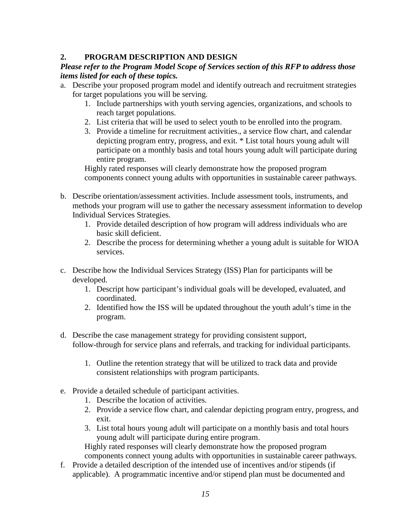### **2. PROGRAM DESCRIPTION AND DESIGN**

#### *Please refer to the Program Model Scope of Services section of this RFP to address those items listed for each of these topics.*

- a. Describe your proposed program model and identify outreach and recruitment strategies for target populations you will be serving.
	- 1. Include partnerships with youth serving agencies, organizations, and schools to reach target populations.
	- 2. List criteria that will be used to select youth to be enrolled into the program.
	- 3. Provide a timeline for recruitment activities., a service flow chart, and calendar depicting program entry, progress, and exit. \* List total hours young adult will participate on a monthly basis and total hours young adult will participate during entire program.

Highly rated responses will clearly demonstrate how the proposed program components connect young adults with opportunities in sustainable career pathways.

- b. Describe orientation/assessment activities. Include assessment tools, instruments, and methods your program will use to gather the necessary assessment information to develop Individual Services Strategies.
	- 1. Provide detailed description of how program will address individuals who are basic skill deficient.
	- 2. Describe the process for determining whether a young adult is suitable for WIOA services.
- c. Describe how the Individual Services Strategy (ISS) Plan for participants will be developed.
	- 1. Descript how participant's individual goals will be developed, evaluated, and coordinated.
	- 2. Identified how the ISS will be updated throughout the youth adult's time in the program.
- d. Describe the case management strategy for providing consistent support, follow-through for service plans and referrals, and tracking for individual participants.
	- 1. Outline the retention strategy that will be utilized to track data and provide consistent relationships with program participants.
- e. Provide a detailed schedule of participant activities.
	- 1. Describe the location of activities.
	- 2. Provide a service flow chart, and calendar depicting program entry, progress, and exit.
	- 3. List total hours young adult will participate on a monthly basis and total hours young adult will participate during entire program.

Highly rated responses will clearly demonstrate how the proposed program components connect young adults with opportunities in sustainable career pathways.

f. Provide a detailed description of the intended use of incentives and/or stipends (if applicable). A programmatic incentive and/or stipend plan must be documented and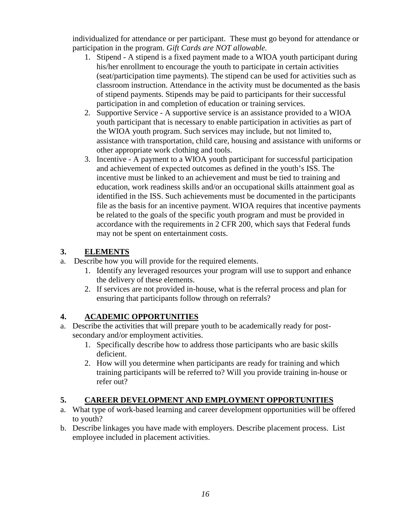individualized for attendance or per participant. These must go beyond for attendance or participation in the program. *Gift Cards are NOT allowable.*

- 1. Stipend A stipend is a fixed payment made to a WIOA youth participant during his/her enrollment to encourage the youth to participate in certain activities (seat/participation time payments). The stipend can be used for activities such as classroom instruction. Attendance in the activity must be documented as the basis of stipend payments. Stipends may be paid to participants for their successful participation in and completion of education or training services.
- 2. Supportive Service A supportive service is an assistance provided to a WIOA youth participant that is necessary to enable participation in activities as part of the WIOA youth program. Such services may include, but not limited to, assistance with transportation, child care, housing and assistance with uniforms or other appropriate work clothing and tools.
- 3. Incentive A payment to a WIOA youth participant for successful participation and achievement of expected outcomes as defined in the youth's ISS. The incentive must be linked to an achievement and must be tied to training and education, work readiness skills and/or an occupational skills attainment goal as identified in the ISS. Such achievements must be documented in the participants file as the basis for an incentive payment. WIOA requires that incentive payments be related to the goals of the specific youth program and must be provided in accordance with the requirements in 2 CFR 200, which says that Federal funds may not be spent on entertainment costs.

### **3. ELEMENTS**

- a. Describe how you will provide for the required elements.
	- 1. Identify any leveraged resources your program will use to support and enhance the delivery of these elements.
	- 2. If services are not provided in-house, what is the referral process and plan for ensuring that participants follow through on referrals?

### **4. ACADEMIC OPPORTUNITIES**

- a. Describe the activities that will prepare youth to be academically ready for postsecondary and/or employment activities.
	- 1. Specifically describe how to address those participants who are basic skills deficient.
	- 2. How will you determine when participants are ready for training and which training participants will be referred to? Will you provide training in-house or refer out?

### **5. CAREER DEVELOPMENT AND EMPLOYMENT OPPORTUNITIES**

- a. What type of work-based learning and career development opportunities will be offered to youth?
- b. Describe linkages you have made with employers. Describe placement process. List employee included in placement activities.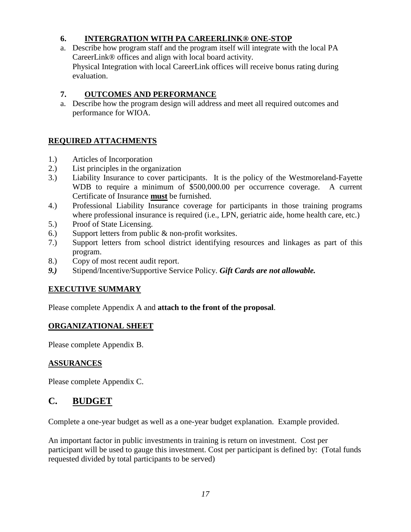### **6. INTERGRATION WITH PA CAREERLINK® ONE-STOP**

a. Describe how program staff and the program itself will integrate with the local PA CareerLink® offices and align with local board activity. Physical Integration with local CareerLink offices will receive bonus rating during evaluation.

### **7. OUTCOMES AND PERFORMANCE**

a. Describe how the program design will address and meet all required outcomes and performance for WIOA.

### **REQUIRED ATTACHMENTS**

- 1.) Articles of Incorporation
- 2.) List principles in the organization
- 3.) Liability Insurance to cover participants. It is the policy of the Westmoreland-Fayette WDB to require a minimum of \$500,000.00 per occurrence coverage. A current Certificate of Insurance **must** be furnished.
- 4.) Professional Liability Insurance coverage for participants in those training programs where professional insurance is required (i.e., LPN, geriatric aide, home health care, etc.)
- 5.) Proof of State Licensing.
- 6.) Support letters from public & non-profit worksites.
- 7.) Support letters from school district identifying resources and linkages as part of this program.
- 8.) Copy of most recent audit report.
- *9.)* Stipend/Incentive/Supportive Service Policy. *Gift Cards are not allowable.*

### **EXECUTIVE SUMMARY**

Please complete Appendix A and **attach to the front of the proposal**.

### **ORGANIZATIONAL SHEET**

Please complete Appendix B.

#### **ASSURANCES**

Please complete Appendix C.

### **C. BUDGET**

Complete a one-year budget as well as a one-year budget explanation. Example provided.

An important factor in public investments in training is return on investment. Cost per participant will be used to gauge this investment. Cost per participant is defined by: (Total funds requested divided by total participants to be served)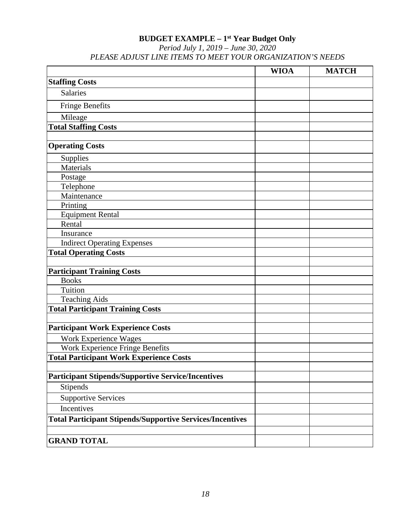#### **BUDGET EXAMPLE – 1st Year Budget Only**

*Period July 1, 2019 – June 30, 2020 PLEASE ADJUST LINE ITEMS TO MEET YOUR ORGANIZATION'S NEEDS*

|                                                                  | <b>WIOA</b> | <b>MATCH</b> |
|------------------------------------------------------------------|-------------|--------------|
| <b>Staffing Costs</b>                                            |             |              |
| Salaries                                                         |             |              |
| <b>Fringe Benefits</b>                                           |             |              |
| Mileage                                                          |             |              |
| <b>Total Staffing Costs</b>                                      |             |              |
|                                                                  |             |              |
| <b>Operating Costs</b>                                           |             |              |
| Supplies                                                         |             |              |
| Materials                                                        |             |              |
| Postage                                                          |             |              |
| Telephone                                                        |             |              |
| Maintenance                                                      |             |              |
| Printing                                                         |             |              |
| <b>Equipment Rental</b>                                          |             |              |
| Rental                                                           |             |              |
| Insurance                                                        |             |              |
| <b>Indirect Operating Expenses</b>                               |             |              |
| <b>Total Operating Costs</b>                                     |             |              |
|                                                                  |             |              |
| <b>Participant Training Costs</b>                                |             |              |
| <b>Books</b>                                                     |             |              |
| Tuition                                                          |             |              |
| <b>Teaching Aids</b>                                             |             |              |
| <b>Total Participant Training Costs</b>                          |             |              |
| <b>Participant Work Experience Costs</b>                         |             |              |
|                                                                  |             |              |
| Work Experience Wages                                            |             |              |
| Work Experience Fringe Benefits                                  |             |              |
| <b>Total Participant Work Experience Costs</b>                   |             |              |
| <b>Participant Stipends/Supportive Service/Incentives</b>        |             |              |
|                                                                  |             |              |
| Stipends                                                         |             |              |
| <b>Supportive Services</b>                                       |             |              |
| Incentives                                                       |             |              |
| <b>Total Participant Stipends/Supportive Services/Incentives</b> |             |              |
|                                                                  |             |              |
| <b>GRAND TOTAL</b>                                               |             |              |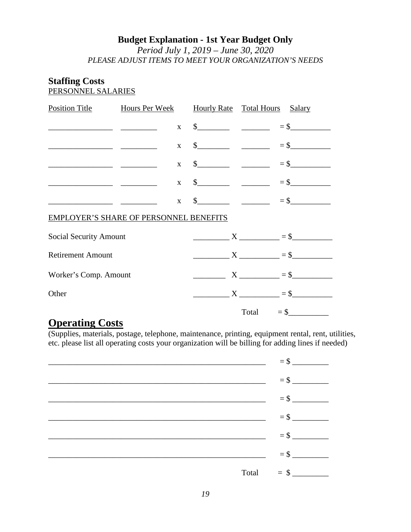## **Budget Explanation - 1st Year Budget Only**

*Period July 1, 2019 – June 30, 2020 PLEASE ADJUST ITEMS TO MEET YOUR ORGANIZATION'S NEEDS*

## **Staffing Costs**

PERSONNEL SALARIES

| <u>Position Title Hours Per Week Hourly Rate Total Hours Salary</u> |              |  |                                                                                                                                                                                                                                                                                                                     |
|---------------------------------------------------------------------|--------------|--|---------------------------------------------------------------------------------------------------------------------------------------------------------------------------------------------------------------------------------------------------------------------------------------------------------------------|
|                                                                     |              |  | $x = $$                                                                                                                                                                                                                                                                                                             |
|                                                                     |              |  | $x = $$                                                                                                                                                                                                                                                                                                             |
|                                                                     |              |  | $x = $$                                                                                                                                                                                                                                                                                                             |
|                                                                     |              |  | $x = $$                                                                                                                                                                                                                                                                                                             |
|                                                                     | $\mathbf{X}$ |  | $\frac{1}{2}$ $\frac{1}{2}$ $\frac{1}{2}$ $\frac{1}{2}$ $\frac{1}{2}$ $\frac{1}{2}$ $\frac{1}{2}$ $\frac{1}{2}$ $\frac{1}{2}$ $\frac{1}{2}$ $\frac{1}{2}$ $\frac{1}{2}$ $\frac{1}{2}$ $\frac{1}{2}$ $\frac{1}{2}$ $\frac{1}{2}$ $\frac{1}{2}$ $\frac{1}{2}$ $\frac{1}{2}$ $\frac{1}{2}$ $\frac{1}{2}$ $\frac{1}{2}$ |
| <b>EMPLOYER'S SHARE OF PERSONNEL BENEFITS</b>                       |              |  |                                                                                                                                                                                                                                                                                                                     |
| Social Security Amount                                              |              |  | $X \longrightarrow X \longrightarrow 5$                                                                                                                                                                                                                                                                             |
| <b>Retirement Amount</b>                                            |              |  | $X$ $=$ \$                                                                                                                                                                                                                                                                                                          |
| Worker's Comp. Amount                                               |              |  | $\begin{array}{c}\nX \quad \text{---} \\ \hline\n\end{array}$                                                                                                                                                                                                                                                       |
| Other                                                               |              |  | $X \longrightarrow X$ = \$                                                                                                                                                                                                                                                                                          |
|                                                                     |              |  | $Total = $$                                                                                                                                                                                                                                                                                                         |

## **Operating Costs**

(Supplies, materials, postage, telephone, maintenance, printing, equipment rental, rent, utilities, etc. please list all operating costs your organization will be billing for adding lines if needed)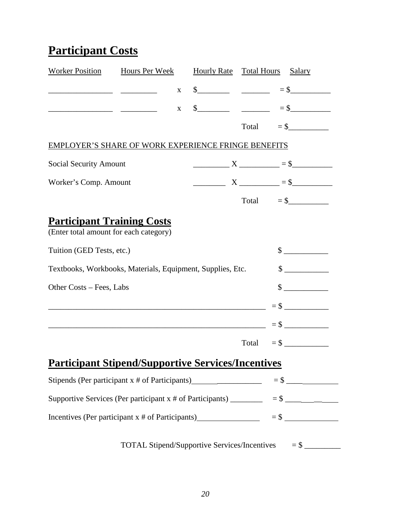# **Participant Costs**

| Worker Position Hours Per Week                                                            |              | Hourly Rate Total Hours Salary |  |                                                                                                                                                                                                                                                                                                                                                                                                       |
|-------------------------------------------------------------------------------------------|--------------|--------------------------------|--|-------------------------------------------------------------------------------------------------------------------------------------------------------------------------------------------------------------------------------------------------------------------------------------------------------------------------------------------------------------------------------------------------------|
|                                                                                           | $\mathbf{X}$ |                                |  | $\frac{\text{S}}{\text{S}}$ = $\frac{\text{S}}{\text{S}}$ = $\frac{\text{S}}{\text{S}}$ = $\frac{\text{S}}{\text{S}}$ = $\frac{\text{S}}{\text{S}}$ = $\frac{\text{S}}{\text{S}}$ = $\frac{\text{S}}{\text{S}}$ = $\frac{\text{S}}{\text{S}}$ = $\frac{\text{S}}{\text{S}}$ = $\frac{\text{S}}{\text{S}}$ = $\frac{\text{S}}{\text{S}}$ = $\frac{\text{S}}{\text{S}}$ = $\frac{\text{S}}{\text{S}}$ = |
|                                                                                           | $\mathbf{X}$ |                                |  | $\frac{\text{S}}{\text{S}}$ = $\frac{\text{S}}{\text{S}}$ = $\frac{\text{S}}{\text{S}}$ = $\frac{\text{S}}{\text{S}}$ = $\frac{\text{S}}{\text{S}}$ = $\frac{\text{S}}{\text{S}}$ = $\frac{\text{S}}{\text{S}}$ = $\frac{\text{S}}{\text{S}}$ = $\frac{\text{S}}{\text{S}}$ = $\frac{\text{S}}{\text{S}}$ = $\frac{\text{S}}{\text{S}}$ = $\frac{\text{S}}{\text{S}}$ = $\frac{\text{S}}{\text{S}}$ = |
|                                                                                           |              |                                |  | $Total = $$                                                                                                                                                                                                                                                                                                                                                                                           |
| <b>EMPLOYER'S SHARE OF WORK EXPERIENCE FRINGE BENEFITS</b>                                |              |                                |  |                                                                                                                                                                                                                                                                                                                                                                                                       |
| <b>Social Security Amount</b>                                                             |              |                                |  | $X$ $= $$                                                                                                                                                                                                                                                                                                                                                                                             |
| Worker's Comp. Amount                                                                     |              |                                |  | $\begin{array}{c}\nX \quad \text{---} \\ \end{array}$                                                                                                                                                                                                                                                                                                                                                 |
|                                                                                           |              |                                |  | $Total = $$                                                                                                                                                                                                                                                                                                                                                                                           |
| <b>Participant Training Costs</b><br>(Enter total amount for each category)               |              |                                |  |                                                                                                                                                                                                                                                                                                                                                                                                       |
| Tuition (GED Tests, etc.)                                                                 |              |                                |  | $\sim$                                                                                                                                                                                                                                                                                                                                                                                                |
| Textbooks, Workbooks, Materials, Equipment, Supplies, Etc.                                |              |                                |  | $\sim$                                                                                                                                                                                                                                                                                                                                                                                                |
| Other Costs - Fees, Labs                                                                  |              |                                |  | $\sim$                                                                                                                                                                                                                                                                                                                                                                                                |
|                                                                                           |              |                                |  |                                                                                                                                                                                                                                                                                                                                                                                                       |
|                                                                                           |              |                                |  |                                                                                                                                                                                                                                                                                                                                                                                                       |
|                                                                                           |              |                                |  | $Total = $$                                                                                                                                                                                                                                                                                                                                                                                           |
| <b>Participant Stipend/Supportive Services/Incentives</b>                                 |              |                                |  |                                                                                                                                                                                                                                                                                                                                                                                                       |
| Stipends (Per participant x # of Participants) $=$ \$                                     |              |                                |  |                                                                                                                                                                                                                                                                                                                                                                                                       |
| Supportive Services (Per participant x # of Participants) $\frac{\qquad \qquad }{2}$ = \$ |              |                                |  |                                                                                                                                                                                                                                                                                                                                                                                                       |
| Incentives (Per participant x # of Participants) $=$ \$                                   |              |                                |  |                                                                                                                                                                                                                                                                                                                                                                                                       |
|                                                                                           |              |                                |  | TOTAL Stipend/Supportive Services/Incentives $=$ \$                                                                                                                                                                                                                                                                                                                                                   |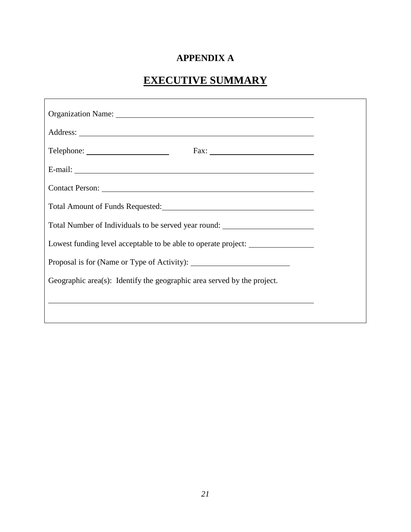## **APPENDIX A**

## **EXECUTIVE SUMMARY**

| Organization Name: 1988 and 1988 and 1988 and 1988 and 1988 and 1988 and 1988 and 1988 and 1988 and 1988 and 19                                                                                                                |  |
|--------------------------------------------------------------------------------------------------------------------------------------------------------------------------------------------------------------------------------|--|
|                                                                                                                                                                                                                                |  |
|                                                                                                                                                                                                                                |  |
| E-mail: No. 2014. The contract of the contract of the contract of the contract of the contract of the contract of the contract of the contract of the contract of the contract of the contract of the contract of the contract |  |
| Contact Person: Exercise Contact Person:                                                                                                                                                                                       |  |
| Total Amount of Funds Requested:<br><u> </u>                                                                                                                                                                                   |  |
| Total Number of Individuals to be served year round: ___________________________                                                                                                                                               |  |
| Lowest funding level acceptable to be able to operate project:                                                                                                                                                                 |  |
|                                                                                                                                                                                                                                |  |
| Geographic area(s): Identify the geographic area served by the project.                                                                                                                                                        |  |
| ,我们也不会有什么。""我们的人,我们也不会有什么?""我们的人,我们也不会有什么?""我们的人,我们也不会有什么?""我们的人,我们也不会有什么?""我们的人                                                                                                                                               |  |
|                                                                                                                                                                                                                                |  |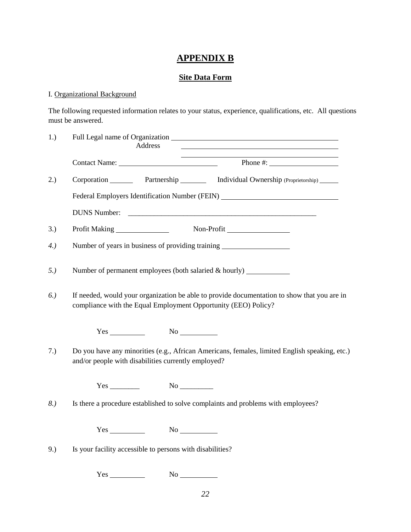## **APPENDIX B**

### **Site Data Form**

### I. Organizational Background

The following requested information relates to your status, experience, qualifications, etc. All questions must be answered.

| 1.) |     | Address                                                                                                        |                                                                                                                                                               |
|-----|-----|----------------------------------------------------------------------------------------------------------------|---------------------------------------------------------------------------------------------------------------------------------------------------------------|
|     |     |                                                                                                                | Contact Name: Phone #:                                                                                                                                        |
| 2.) |     |                                                                                                                | Corporation Partnership Individual Ownership (Proprietorship) _____                                                                                           |
|     |     |                                                                                                                | Federal Employers Identification Number (FEIN) _________________________________                                                                              |
|     |     |                                                                                                                |                                                                                                                                                               |
| 3.) |     |                                                                                                                |                                                                                                                                                               |
| 4.  |     |                                                                                                                | Number of years in business of providing training                                                                                                             |
| 5.) |     |                                                                                                                | Number of permanent employees (both salaried & hourly) ____________                                                                                           |
| 6.) |     |                                                                                                                | If needed, would your organization be able to provide documentation to show that you are in<br>compliance with the Equal Employment Opportunity (EEO) Policy? |
|     |     | $Yes$ No $No$                                                                                                  |                                                                                                                                                               |
| 7.) |     | and/or people with disabilities currently employed?                                                            | Do you have any minorities (e.g., African Americans, females, limited English speaking, etc.)                                                                 |
|     |     |                                                                                                                |                                                                                                                                                               |
| 8.) |     |                                                                                                                | Is there a procedure established to solve complaints and problems with employees?                                                                             |
|     |     | Yes                                                                                                            |                                                                                                                                                               |
| 9.) |     | Is your facility accessible to persons with disabilities?                                                      |                                                                                                                                                               |
|     | Yes | No new years of the New York of the New York of the New York of the New York of the New York of the New York o |                                                                                                                                                               |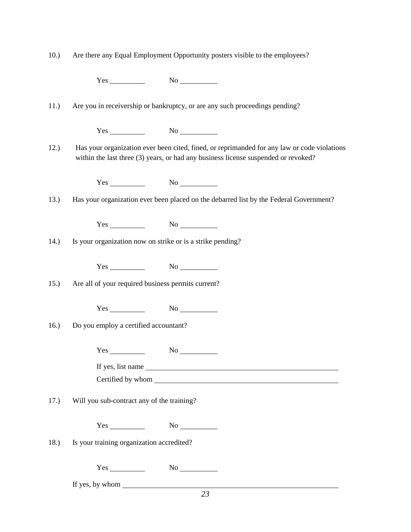| 10.) |  | Are there any Equal Employment Opportunity posters visible to the employees? |
|------|--|------------------------------------------------------------------------------|
|      |  |                                                                              |

 $Yes$  No  $No$ 

11.) Are you in receivership or bankruptcy, or are any such proceedings pending?

| . .<br>∼<br>$- - -$<br>-<br>$\sim$ |  |
|------------------------------------|--|
|------------------------------------|--|

12.) Has your organization ever been cited, fined, or reprimanded for any law or code violations within the last three (3) years, or had any business license suspended or revoked?

Yes No

13.) Has your organization ever been placed on the debarred list by the Federal Government?

Yes No

14.) Is your organization now on strike or is a strike pending?

Yes No

15.) Are all of your required business permits current?

Yes No

16.) Do you employ a certified accountant?

 $Yes$  No  $No$ 

If yes, list name Certified by whom

17.) Will you sub-contract any of the training?

| -- | $\overline{\phantom{a}}$ |
|----|--------------------------|
|----|--------------------------|

18.) Is your training organization accredited?

Yes No

If yes, by whom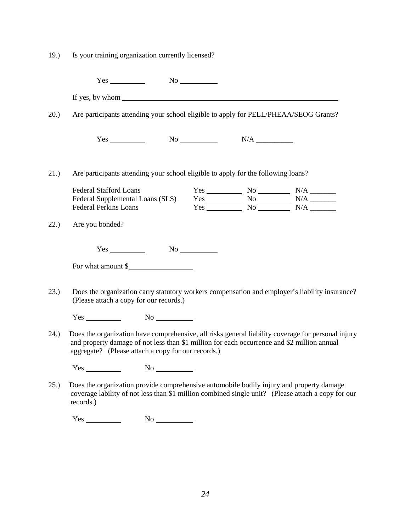| 19.)  | Is your training organization currently licensed?                                                                                                                                                                                                       |  |  |                                                                                                                                                                                                                                                                                                                                                                                                                                                                                                                                   |
|-------|---------------------------------------------------------------------------------------------------------------------------------------------------------------------------------------------------------------------------------------------------------|--|--|-----------------------------------------------------------------------------------------------------------------------------------------------------------------------------------------------------------------------------------------------------------------------------------------------------------------------------------------------------------------------------------------------------------------------------------------------------------------------------------------------------------------------------------|
|       | $Yes$ No $No$                                                                                                                                                                                                                                           |  |  |                                                                                                                                                                                                                                                                                                                                                                                                                                                                                                                                   |
|       |                                                                                                                                                                                                                                                         |  |  |                                                                                                                                                                                                                                                                                                                                                                                                                                                                                                                                   |
| (20.) | Are participants attending your school eligible to apply for PELL/PHEAA/SEOG Grants?                                                                                                                                                                    |  |  |                                                                                                                                                                                                                                                                                                                                                                                                                                                                                                                                   |
|       | $Yes$ No $N/A$ No                                                                                                                                                                                                                                       |  |  |                                                                                                                                                                                                                                                                                                                                                                                                                                                                                                                                   |
| 21.)  | Are participants attending your school eligible to apply for the following loans?                                                                                                                                                                       |  |  |                                                                                                                                                                                                                                                                                                                                                                                                                                                                                                                                   |
|       | <b>Federal Stafford Loans</b><br>Federal Supplemental Loans (SLS)<br><b>Federal Perkins Loans</b>                                                                                                                                                       |  |  | ${\rm Yes} \over {\rm Yes} \over {\rm No} \over {\rm No} \over {\rm No} \over {\rm N/A} \over {\rm N/A} \over {\rm N/A} \over {\rm N/A} \over {\rm N/A} \over {\rm N/A} \over {\rm N/A} \over {\rm N/A} \over {\rm N/A} \over {\rm N/A} \over {\rm N/A} \over {\rm N/A} \over {\rm N/A} \over {\rm N/A} \over {\rm N/A} \over {\rm N/A} \over {\rm N/A} \over {\rm N/A} \over {\rm N/A} \over {\rm N/A} \over {\rm N/A} \over {\rm N/A} \over {\rm N/A} \over {\rm N/A} \over {\rm N/A} \over {\rm N/A} \over {\rm N/A} \over {\$ |
| 22.)  | Are you bonded?                                                                                                                                                                                                                                         |  |  |                                                                                                                                                                                                                                                                                                                                                                                                                                                                                                                                   |
|       | $Yes$ No $\qquad \qquad No$<br>For what amount \$                                                                                                                                                                                                       |  |  |                                                                                                                                                                                                                                                                                                                                                                                                                                                                                                                                   |
| 23.)  | Does the organization carry statutory workers compensation and employer's liability insurance?<br>(Please attach a copy for our records.)                                                                                                               |  |  |                                                                                                                                                                                                                                                                                                                                                                                                                                                                                                                                   |
|       | $Yes$ No $No$                                                                                                                                                                                                                                           |  |  |                                                                                                                                                                                                                                                                                                                                                                                                                                                                                                                                   |
| 24.)  | Does the organization have comprehensive, all risks general liability coverage for personal injury<br>and property damage of not less than \$1 million for each occurrence and \$2 million annual<br>aggregate? (Please attach a copy for our records.) |  |  |                                                                                                                                                                                                                                                                                                                                                                                                                                                                                                                                   |
|       | $Yes$ No $No$                                                                                                                                                                                                                                           |  |  |                                                                                                                                                                                                                                                                                                                                                                                                                                                                                                                                   |
| 25.)  | Does the organization provide comprehensive automobile bodily injury and property damage<br>coverage lability of not less than \$1 million combined single unit? (Please attach a copy for our<br>records.)                                             |  |  |                                                                                                                                                                                                                                                                                                                                                                                                                                                                                                                                   |
|       | No                                                                                                                                                                                                                                                      |  |  |                                                                                                                                                                                                                                                                                                                                                                                                                                                                                                                                   |